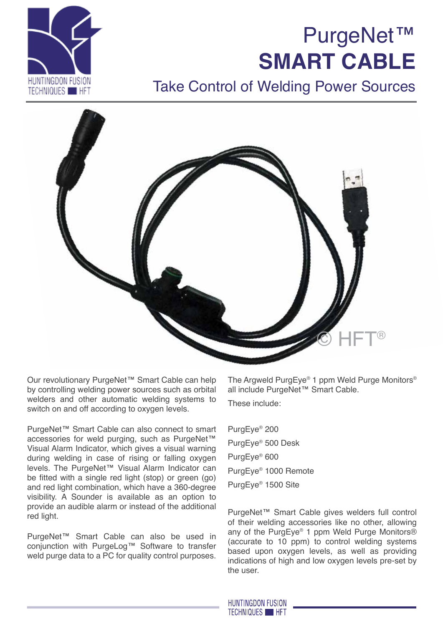



# Take Control of Welding Power Sources



Our revolutionary PurgeNet™ Smart Cable can help by controlling welding power sources such as orbital welders and other automatic welding systems to switch on and off according to oxygen levels.

PurgeNet™ Smart Cable can also connect to smart accessories for weld purging, such as PurgeNet™ Visual Alarm Indicator, which gives a visual warning during welding in case of rising or falling oxygen levels. The PurgeNet™ Visual Alarm Indicator can be fitted with a single red light (stop) or green (go) and red light combination, which have a 360-degree visibility. A Sounder is available as an option to provide an audible alarm or instead of the additional red light.

PurgeNet™ Smart Cable can also be used in conjunction with PurgeLog™ Software to transfer weld purge data to a PC for quality control purposes.

The Argweld PurgEye® 1 ppm Weld Purge Monitors® all include PurgeNet™ Smart Cable.

These include:

PurgEye® 200 PurgEye® 500 Desk PurgEye® 600 PurgEye® 1000 Remote PurgEye® 1500 Site

PurgeNet™ Smart Cable gives welders full control of their welding accessories like no other, allowing any of the PurgEye® 1 ppm Weld Purge Monitors® (accurate to 10 ppm) to control welding systems based upon oxygen levels, as well as providing indications of high and low oxygen levels pre-set by the user.

**HUNTINGDON FUSION TECHNIQUES HET**